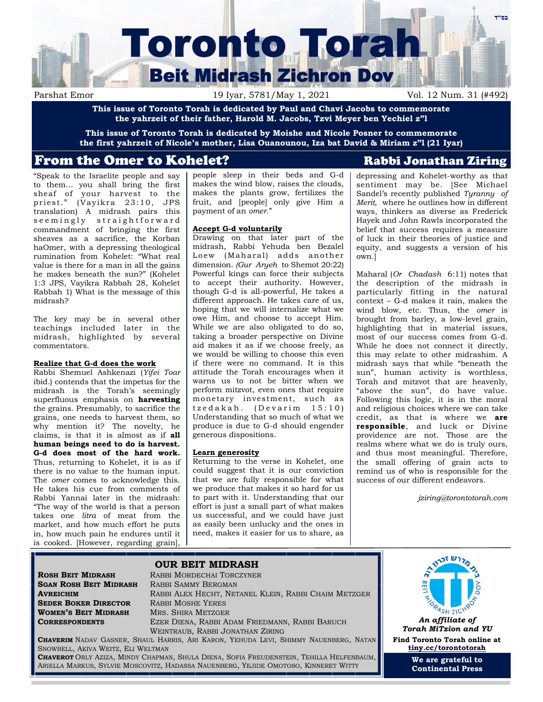

Parshat Emor 19 Iyar, 5781/May 1, 2021 Vol. 12 Num. 31 (#492)

**This issue of Toronto Torah is dedicated by Paul and Chavi Jacobs to commemorate the yahrzeit of their father, Harold M. Jacobs, Tzvi Meyer ben Yechiel z"l**

**This issue of Toronto Torah is dedicated by Moishe and Nicole Posner to commemorate the first yahrzeit of Nicole's mother, Lisa Ouanounou, Iza bat David & Miriam z"l (21 Iyar)**

# From the Omer to Kohelet? The Rabbi Jonathan Ziring

"Speak to the Israelite people and say to them… you shall bring the first sheaf of your harvest to the priest." (Vayikra 23:10, JPS translation) A midrash pairs this s e e m i n g l y straight forward commandment of bringing the first sheaves as a sacrifice, the Korban haOmer, with a depressing theological rumination from Kohelet: "What real value is there for a man in all the gains he makes beneath the sun?" (Kohelet 1:3 JPS, Vayikra Rabbah 28, Kohelet Rabbah 1) What is the message of this midrash?

The key may be in several other teachings included later in the midrash, highlighted by several commentators.

### **Realize that G-d does the work**

Rabbi Shemuel Ashkenazi (*Yifei Toar*  ibid.) contends that the impetus for the midrash is the Torah's seemingly superfluous emphasis on **harvesting** the grains. Presumably, to sacrifice the grains, one needs to harvest them, so why mention it? The novelty, he claims, is that it is almost as if **all human beings need to do is harvest. G-d does most of the hard work.**  Thus, returning to Kohelet, it is as if there is no value to the human input. The *omer* comes to acknowledge this. He takes his cue from comments of Rabbi Yannai later in the midrash: "The way of the world is that a person takes one *litra* of meat from the market, and how much effort he puts in, how much pain he endures until it is cooked. [However, regarding grain],

people sleep in their beds and G-d makes the wind blow, raises the clouds, makes the plants grow, fertilizes the fruit, and [people] only give Him a payment of an *omer.*"

#### **Accept G-d voluntarily**

Drawing on that later part of the midrash, Rabbi Yehuda ben Bezalel Loew (Maharal) adds another dimension. *(Gur Aryeh* to Shemot 20:22) Powerful kings can force their subjects to accept their authority. However, though G-d is all-powerful, He takes a different approach. He takes care of us, hoping that we will internalize what we owe Him, and choose to accept Him. While we are also obligated to do so, taking a broader perspective on Divine aid makes it as if we choose freely, as we would be willing to choose this even if there were no command. It is this attitude the Torah encourages when it warns us to not be bitter when we perform mitzvot, even ones that require monetary investment, such as  $t z e d a k a h.$  (Devarim 15:10) Understanding that so much of what we produce is due to G-d should engender generous dispositions.

### **Learn generosity**

Returning to the verse in Kohelet, one could suggest that it is our conviction that we are fully responsible for what we produce that makes it so hard for us to part with it. Understanding that our effort is just a small part of what makes us successful, and we could have just as easily been unlucky and the ones in need, makes it easier for us to share, as

depressing and Kohelet-worthy as that sentiment may be. [See Michael Sandel's recently published *Tyranny of Merit,* where he outlines how in different ways, thinkers as diverse as Frederick Hayek and John Rawls incorporated the belief that success requires a measure of luck in their theories of justice and equity, and suggests a version of his own.]

Maharal (*Or Chadash* 6:11) notes that the description of the midrash is particularly fitting in the natural context – G-d makes it rain, makes the wind blow, etc. Thus, the *omer* is brought from barley, a low-level grain, highlighting that in material issues, most of our success comes from G-d. While he does not connect it directly, this may relate to other midrashim. A midrash says that while "beneath the sun", human activity is worthless, Torah and mitzvot that are heavenly, "above the sun", do have value. Following this logic, it is in the moral and religious choices where we can take credit, as that is where we **are responsible**, and luck or Divine providence are not. Those are the realms where what we do is truly ours, and thus most meaningful. Therefore, the small offering of grain acts to remind us of who is responsible for the success of our different endeavors*.*

*jziring@torontotorah.com*

**SGAN ROSH BEIT MIDRASH** RABBI SAMMY BERGMAN **SEDER BOKER DIRECTOR** RABBI MOSHE YERES **WOMEN'S BEIT MIDRASH** MRS. SHIRA METZGER

SNOWBELL, AKIVA WEITZ, ELI WELTMAN

**ROSH BEIT MIDRASH** RABBI MORDECHAI TORCZYNER **AVREICHIM** RABBI ALEX HECHT, NETANEL KLEIN, RABBI CHAIM METZGER **CORRESPONDENTS** EZER DIENA, RABBI ADAM FRIEDMANN, RABBI BARUCH WEINTRAUB, RABBI JONATHAN ZIRING **CHAVERIM** NADAV GASNER, SHAUL HARRIS, ARI KARON, YEHUDA LEVI, SHIMMY NAUENBERG, NATAN



*Torah MiTzion and YU* **Find Toronto Torah online at [tiny.cc/torontotorah](http://tiny.cc/torontotorah)**

> **We are grateful to Continental Press**

# **OUR BEIT MIDRASH**

**CHAVEROT** ORLY AZIZA, MINDY CHAPMAN, SHULA DIENA, SOFIA FREUDENSTEIN, TEHILLA HELFENBAUM, ARIELLA MARKUS, SYLVIE MOSCOVITZ, HADASSA NAUENBERG, YEJIDE OMOTOSO, KINNERET WITTY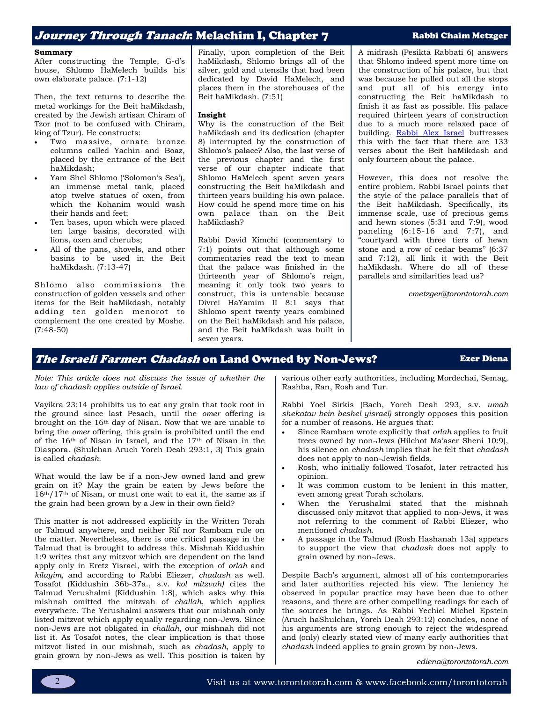# Journey Through Tanach: Melachim I, Chapter 7 Rabbi Chaim Metzger

#### **Summary**

After constructing the Temple, G-d's house, Shlomo HaMelech builds his own elaborate palace. (7:1-12)

Then, the text returns to describe the metal workings for the Beit haMikdash, created by the Jewish artisan Chiram of Tzor (not to be confused with Chiram, king of Tzur). He constructs:

- Two massive, ornate bronze columns called Yachin and Boaz, placed by the entrance of the Beit haMikdash;
- Yam Shel Shlomo ('Solomon's Sea'), an immense metal tank, placed atop twelve statues of oxen, from which the Kohanim would wash their hands and feet;
- Ten bases, upon which were placed ten large basins, decorated with lions, oxen and cherubs;
- All of the pans, shovels, and other basins to be used in the Beit haMikdash. (7:13-47)

Shlomo also commissions the construction of golden vessels and other items for the Beit haMikdash, notably adding ten golden menorot to complement the one created by Moshe. (7:48-50)

Finally, upon completion of the Beit haMikdash, Shlomo brings all of the silver, gold and utensils that had been dedicated by David HaMelech, and places them in the storehouses of the Beit haMikdash. (7:51)

#### **Insight**

Why is the construction of the Beit haMikdash and its dedication (chapter 8) interrupted by the construction of Shlomo's palace? Also, the last verse of the previous chapter and the first verse of our chapter indicate that Shlomo HaMelech spent seven years constructing the Beit haMikdash and thirteen years building his own palace. How could he spend more time on his own palace than on the Beit haMikdash?

Rabbi David Kimchi (commentary to 7:1) points out that although some commentaries read the text to mean that the palace was finished in the thirteenth year of Shlomo's reign, meaning it only took two years to construct, this is untenable because Divrei HaYamim II 8:1 says that Shlomo spent twenty years combined on the Beit haMikdash and his palace, and the Beit haMikdash was built in seven years.

A midrash (Pesikta Rabbati 6) answers that Shlomo indeed spent more time on the construction of his palace, but that was because he pulled out all the stops and put all of his energy into constructing the Beit haMikdash to finish it as fast as possible. His palace required thirteen years of construction due to a much more relaxed pace of building. [Rabbi Alex Israel](https://www.etzion.org.il/en/shiur-7-chapter-7-%D6%A0majestic-buildings) buttresses this with the fact that there are 133 verses about the Beit haMikdash and only fourteen about the palace.

However, this does not resolve the entire problem. Rabbi Israel points that the style of the palace parallels that of the Beit haMikdash. Specifically, its immense scale, use of precious gems and hewn stones (5:31 and 7:9), wood paneling (6:15-16 and 7:7), and "courtyard with three tiers of hewn stone and a row of cedar beams" (6:37 and 7:12), all link it with the Beit haMikdash. Where do all of these parallels and similarities lead us?

*cmetzger@torontotorah.com*

## The Israeli Farmer: Chadash on Land Owned by Non-Jews? Ezer Diena

*Note: This article does not discuss the issue of whether the law of chadash applies outside of Israel.*

Vayikra 23:14 prohibits us to eat any grain that took root in the ground since last Pesach, until the *omer* offering is brought on the 16th day of Nisan. Now that we are unable to bring the *omer* offering, this grain is prohibited until the end of the 16th of Nisan in Israel, and the 17th of Nisan in the Diaspora. (Shulchan Aruch Yoreh Deah 293:1, 3) This grain is called *chadash.*

What would the law be if a non-Jew owned land and grew grain on it? May the grain be eaten by Jews before the 16th/17th of Nisan, or must one wait to eat it, the same as if the grain had been grown by a Jew in their own field?

This matter is not addressed explicitly in the Written Torah or Talmud anywhere, and neither Rif nor Rambam rule on the matter. Nevertheless, there is one critical passage in the Talmud that is brought to address this. Mishnah Kiddushin 1:9 writes that any mitzvot which are dependent on the land apply only in Eretz Yisrael, with the exception of *orlah* and *kilayim,* and according to Rabbi Eliezer, *chadash* as well. Tosafot (Kiddushin 36b-37a., s.v. *kol mitzvah)* cites the Talmud Yerushalmi (Kiddushin 1:8), which asks why this mishnah omitted the mitzvah of *challah*, which applies everywhere. The Yerushalmi answers that our mishnah only listed mitzvot which apply equally regarding non-Jews. Since non-Jews are not obligated in *challah*, our mishnah did not list it. As Tosafot notes, the clear implication is that those mitzvot listed in our mishnah, such as *chadash*, apply to grain grown by non-Jews as well. This position is taken by

various other early authorities, including Mordechai, Semag, Rashba, Ran, Rosh and Tur.

Rabbi Yoel Sirkis (Bach, Yoreh Deah 293, s.v. *umah shekatav bein beshel yisrael)* strongly opposes this position for a number of reasons. He argues that:

- Since Rambam wrote explicitly that *orlah* applies to fruit trees owned by non-Jews (Hilchot Ma'aser Sheni 10:9), his silence on *chadash* implies that he felt that *chadash* does not apply to non-Jewish fields.
- Rosh, who initially followed Tosafot, later retracted his opinion.
- It was common custom to be lenient in this matter, even among great Torah scholars.
- When the Yerushalmi stated that the mishnah discussed only mitzvot that applied to non-Jews, it was not referring to the comment of Rabbi Eliezer, who mentioned *chadash.*
- A passage in the Talmud (Rosh Hashanah 13a) appears to support the view that *chadash* does not apply to grain owned by non-Jews.

Despite Bach's argument, almost all of his contemporaries and later authorities rejected his view. The leniency he observed in popular practice may have been due to other reasons, and there are other compelling readings for each of the sources he brings. As Rabbi Yechiel Michel Epstein (Aruch haShulchan, Yoreh Deah 293:12) concludes, none of his arguments are strong enough to reject the widespread and (only) clearly stated view of many early authorities that *chadash* indeed applies to grain grown by non-Jews.

*ediena@torontotorah.com*



2 Visit us at www.torontotorah.com & www.facebook.com/torontotorah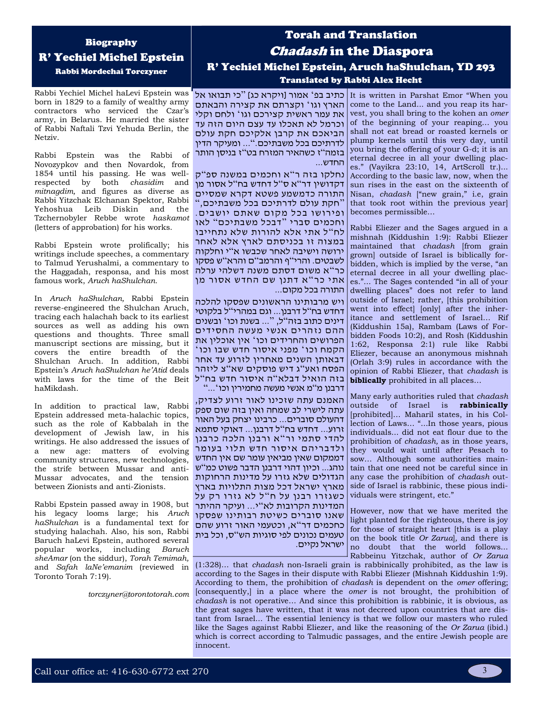# Biography R' Yechiel Michel Epstein Rabbi Mordechai Torczyner

Rabbi Yechiel Michel haLevi Epstein was born in 1829 to a family of wealthy army contractors who serviced the Czar's army, in Belarus. He married the sister of Rabbi Naftali Tzvi Yehuda Berlin, the Netziv.

Rabbi Epstein was the Rabbi of Novozypkov and then Novardok, from 1854 until his passing. He was wellrespected by both *chasidim* and *mitnagdim,* and figures as diverse as Rabbi Yitzchak Elchanan Spektor, Rabbi Yehoshua Leib Diskin and the Tzchernobyler Rebbe wrote *haskamot*  (letters of approbation) for his works.

Rabbi Epstein wrote prolifically; his writings include speeches, a commentary to Talmud Yerushalmi, a commentary to the Haggadah, responsa, and his most famous work, *Aruch haShulchan.*

In *Aruch haShulchan,* Rabbi Epstein reverse-engineered the Shulchan Aruch, tracing each halachah back to its earliest sources as well as adding his own questions and thoughts. Three small manuscript sections are missing, but it covers the entire breadth of the Shulchan Aruch. In addition, Rabbi Epstein's *Aruch haShulchan he'Atid* deals with laws for the time of the Beit haMikdash.

In addition to practical law, Rabbi Epstein addressed meta-halachic topics, such as the role of Kabbalah in the development of Jewish law, in his writings. He also addressed the issues of a new age: matters of evolving community structures, new technologies, the strife between Mussar and anti-Mussar advocates, and the tension between Zionists and anti-Zionists.

Rabbi Epstein passed away in 1908, but his legacy looms large; his *Aruch haShulchan* is a fundamental text for studying halachah. Also, his son, Rabbi Baruch haLevi Epstein, authored several<br>popular works, including *Baruch* popular works, including *Baruch sheAmar* (on the siddur), *Torah Temimah,*  and *Safah laNe'emanim* (reviewed in Toronto Torah 7:19).

*torczyner@torontotorah.com*

# Torah and Translation Chadash in the Diaspora R' Yechiel Michel Epstein, Aruch haShulchan, YD 293 Translated by Rabbi Alex Hecht

הארץ וגו ' וקצרתם את קצירה והבאתם את עמר ראשית קצירכם וגו ' ולחם וקלי וכרמל לא תאכלו עד עצם היום הזה עד הביאכם את קרבן אלקיכם חקת עולם לדרתיכם בכל משבתיכם. "... ומעיקר הדין בזמה"ז כשהאיר המזרח בט " ז בניסן הותר החדש...

נחלקו בזה ר " א וחכמים במשנה ספ " ק דקדושין דר"א ס"ל דחדש בח"ל אסור מן התורה כדמשמע פשטא דקרא שמסיים " חקת עולם לדרתיכם בכל משבתיכם, " ופירושו בכל מקום שאתם יושבים. וחכמים סברי " דבכל משבתיכם " לאו לח " ל אתי אלא להורות שלא נתחייבו במצוה זו בכניסתם לארץ אלא לאחר ירושה וישיבה לאחר שכבשו א " י וחלקוה לשבטים. והרי"ף והרמב"ם והרא"ש פסקו כר "א משום דסתם משנה דשלהי ערלה אתי כר " א דתנן שם החדש אסור מן התורה בכל מקום...

ויש מרבותינו הראשונים שפסקו להלכה דחדש בח"ל דרבנן... וגם במהרי " ל בלקוטי דינים כתוב בזה " ל, "... בשנת וכו ' ובשנים ההם נזהרים אנשי מעשה החסידים הפרושים והחרידים וכו ' אין אוכלין את ' הקמח וכו' מפני איסור חדש שבו וכו דבאותן השנים מאחרין לזרוע עד אחר הפסח ואע''ג דיש פוסקים שא''צ ליזהר בזה הואיל דבלא"ה איסור חדש בח"ל דרבנן מ"מ אנשי מעשה מחמירין וכו'..."

האמנם עתה שזכינו לאור זרוע לצדיק, עתה לישרי לב שמחה ואין בזה שום ספק דהעולם סוברים... כרבינו יצחק בעל האור זרוע... דחדש בח " ל דרבנן... דאוקי סתמא להדי סתמי ור"א ורבנן הלכה כרבנן ולדבריהם איסור חדש תלוי בעומר דממקום שאין מביאין עומר שם אין החדש נוהג... וכיון דהוי דרבנן הדבר פשוט כמ " ש הגדולים שלא גזרו על מדינות הרחוקות מארץ ישראל דכל מצות התלויות בארץ כשגזרו רבנן על ח"ל לא גזרו רק על המדינות הקרובות לא " י... ועיקר ההיתר שאנו סוברים כשיטת רבותינו שפסקו כחכמים דר"א, וכטעמי האור זרוע שהם טעמים נכונים לפי סוגיות הש " ס, וכל בית ישראל נקיים.

כתיב בפ<sup>2</sup> אמור [ויקרא כג] "כי תבואו אל It is written in Parshat Emor "When you come to the Land... and you reap its harvest, you shall bring to the kohen an *omer*  of the beginning of your reaping… you shall not eat bread or roasted kernels or plump kernels until this very day, until you bring the offering of your G-d; it is an eternal decree in all your dwelling places." (Vayikra 23:10, 14, ArtScroll tr.)... According to the basic law, now, when the sun rises in the east on the sixteenth of Nisan, *chadash* ["new grain," i.e, grain that took root within the previous year] becomes permissible…

> Rabbi Eliezer and the Sages argued in a mishnah (Kiddushin 1:9): Rabbi Eliezer maintained that *chadash* [from grain grown] outside of Israel is biblically forbidden, which is implied by the verse, "an eternal decree in all your dwelling places."... The Sages contended "in all of your dwelling places" does not refer to land outside of Israel; rather, [this prohibition went into effect] [only] after the inheritance and settlement of Israel… Rif (Kiddushin 15a), Rambam (Laws of Forbidden Foods 10:2), and Rosh (Kiddushin 1:62, Responsa 2:1) rule like Rabbi Eliezer, because an anonymous mishnah (Orlah 3:9) rules in accordance with the opinion of Rabbi Eliezer, that *chadash* is **biblically** prohibited in all places…

> Many early authorities ruled that *chadash*  outside of Israel is **rabbinically** [prohibited]… Maharil states, in his Collection of Laws… "...In those years, pious individuals... did not eat flour due to the prohibition of *chadash,* as in those years, they would wait until after Pesach to sow… Although some authorities maintain that one need not be careful since in any case the prohibition of *chadash* outside of Israel is rabbinic, these pious individuals were stringent, etc."

> However, now that we have merited the light planted for the righteous, there is joy for those of straight heart [this is a play on the book title *Or Zarua*]*,* and there is no doubt that the world follows... Rabbeinu Yitzchak, author of *Or Zarua*

(1:328)… that *chadash* non-Israeli grain is rabbinically prohibited, as the law is according to the Sages in their dispute with Rabbi Eliezer (Mishnah Kiddushin 1:9). According to them, the prohibition of *chadash* is dependent on the *omer* offering; [consequently,] in a place where the *omer* is not brought, the prohibition of *chadash* is not operative… And since this prohibition is rabbinic, it is obvious, as the great sages have written, that it was not decreed upon countries that are distant from Israel... The essential leniency is that we follow our masters who ruled like the Sages against Rabbi Eliezer, and like the reasoning of the *Or Zarua* (ibid.) which is correct according to Talmudic passages, and the entire Jewish people are innocent.